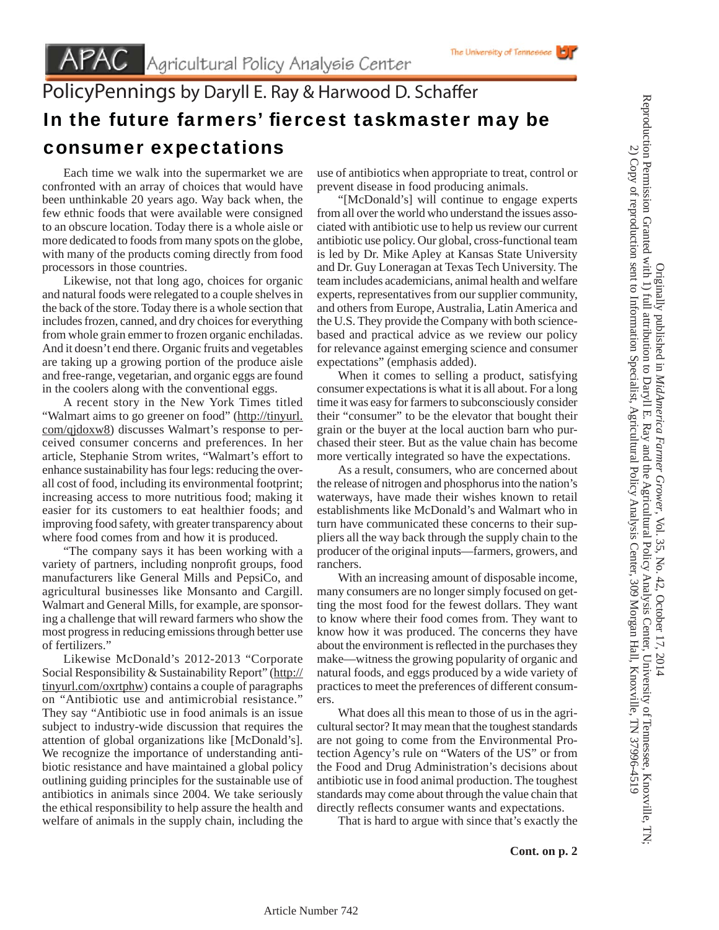## PolicyPennings by Daryll E. Ray & Harwood D. Schaffer In the future farmers' fiercest taskmaster may be consumer expectations

 Each time we walk into the supermarket we are confronted with an array of choices that would have been unthinkable 20 years ago. Way back when, the few ethnic foods that were available were consigned to an obscure location. Today there is a whole aisle or more dedicated to foods from many spots on the globe, with many of the products coming directly from food processors in those countries.

 Likewise, not that long ago, choices for organic and natural foods were relegated to a couple shelves in the back of the store. Today there is a whole section that includes frozen, canned, and dry choices for everything from whole grain emmer to frozen organic enchiladas. And it doesn't end there. Organic fruits and vegetables are taking up a growing portion of the produce aisle and free-range, vegetarian, and organic eggs are found in the coolers along with the conventional eggs.

 A recent story in the New York Times titled "Walmart aims to go greener on food" (http://tinyurl. com/qjdoxw8) discusses Walmart's response to perceived consumer concerns and preferences. In her article, Stephanie Strom writes, "Walmart's effort to enhance sustainability has four legs: reducing the overall cost of food, including its environmental footprint; increasing access to more nutritious food; making it easier for its customers to eat healthier foods; and improving food safety, with greater transparency about where food comes from and how it is produced.

 "The company says it has been working with a variety of partners, including nonprofit groups, food manufacturers like General Mills and PepsiCo, and agricultural businesses like Monsanto and Cargill. Walmart and General Mills, for example, are sponsoring a challenge that will reward farmers who show the most progress in reducing emissions through better use of fertilizers."

 Likewise McDonald's 2012-2013 "Corporate Social Responsibility & Sustainability Report" (http:// tinyurl.com/oxrtphw) contains a couple of paragraphs on "Antibiotic use and antimicrobial resistance." They say "Antibiotic use in food animals is an issue subject to industry-wide discussion that requires the attention of global organizations like [McDonald's]. We recognize the importance of understanding antibiotic resistance and have maintained a global policy outlining guiding principles for the sustainable use of antibiotics in animals since 2004. We take seriously the ethical responsibility to help assure the health and welfare of animals in the supply chain, including the

use of antibiotics when appropriate to treat, control or prevent disease in food producing animals.

 "[McDonald's] will continue to engage experts from all over the world who understand the issues associated with antibiotic use to help us review our current antibiotic use policy. Our global, cross-functional team is led by Dr. Mike Apley at Kansas State University and Dr. Guy Loneragan at Texas Tech University. The team includes academicians, animal health and welfare experts, representatives from our supplier community, and others from Europe, Australia, Latin America and the U.S. They provide the Company with both sciencebased and practical advice as we review our policy for relevance against emerging science and consumer expectations" (emphasis added).

 When it comes to selling a product, satisfying consumer expectations is what it is all about. For a long time it was easy for farmers to subconsciously consider their "consumer" to be the elevator that bought their grain or the buyer at the local auction barn who purchased their steer. But as the value chain has become more vertically integrated so have the expectations.

 As a result, consumers, who are concerned about the release of nitrogen and phosphorus into the nation's waterways, have made their wishes known to retail establishments like McDonald's and Walmart who in turn have communicated these concerns to their suppliers all the way back through the supply chain to the producer of the original inputs—farmers, growers, and ranchers.

 With an increasing amount of disposable income, many consumers are no longer simply focused on getting the most food for the fewest dollars. They want to know where their food comes from. They want to know how it was produced. The concerns they have about the environment is reflected in the purchases they make—witness the growing popularity of organic and natural foods, and eggs produced by a wide variety of practices to meet the preferences of different consumers.

 What does all this mean to those of us in the agricultural sector? It may mean that the toughest standards are not going to come from the Environmental Protection Agency's rule on "Waters of the US" or from the Food and Drug Administration's decisions about antibiotic use in food animal production. The toughest standards may come about through the value chain that directly reflects consumer wants and expectations.

That is hard to argue with since that's exactly the